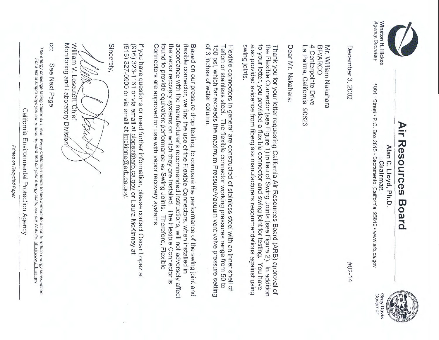

Agency Secretary

Agency Secretary

## **Air Resources Board**  Air Resources Board



**Chairman Winston** H. **Hickox**  1001 | Street · P.O. Box 2815 · Sacramento, California 95812 · www.arb.ca.gov 1001 I Street • P.O. Box 2815 • Sacramento, California• 95812 • www.arb.ca.gov



#02-14

BP/ARCO Mr. William Nakahara 4 Centerpointe Drive Mr. William Nakahara

December 3, 2002

December 3, 2002

Dear Nr. Nakahara: Dear Mr. Nakahara:

La Palma, California 90623

La Palma, California 90623

also provided evidence from fiberglass manufacturers recommendations against using to your letter, you provided a flexible connector and swing joint for testing. You have the Flexible Connector (see Figure 1) in lieu of Swing Joints (see Figure 2). suing joints the Flexible Connector (see Figure 1) in lieu of Swing Joints (see Figure 2). In addition Thank you for your letter requesting California Air Resources Board (ARB) approval of swing joints. also provided evidence from fiberglass manufacturers recommendations against using to your letter, you provided a flexible connector and swing joint for testing. You have Thank you for your letter requesting California Air Resources Board (ARB) approval of In addition

of 3 inches of water column. 150 psi, which far exceeds the maximum Pressure/Vacuum vent valve pressure setting Teflon or stainless steel. The flexible connector working pressures range from 50 to Flexible connectors in general are constructed of stainless steel with an inner shell of of 3 inches of water column. Teflon or stainless steel. The flexible connector working pressures range from 50 to 150 psi, which far exceeds the maximum PressureNacuum vent valve pressure setting Flexible connectors in general are constructed of stainless steel with an inner shell of

Connectors are approved for use with vapor recovery systems found to provide equivalent performance as Swing Joints. the vapor recovery systems on which they are installed. The Flexible Connector is accordance with the manufacturer's recommended instructions, will not adversely affect flexible connector, we find the use of the Flexible Connectors, when installed in Based on our pressure drop testing, to compare the performance of the swing joint and Connectors are approved for use with vapor recovery systems. found to provide equivalent performance as Swing Joints. Therefore, Flexible the vapor recovery systems on which they are installed. The Flexible Connector is accordance with the manufacturer's recommended instructions, will not adversely affect flexible connector, we find the use of the Flexible Connectors, when installed in Based on our pressure drop testing, to compare the performance of the swing joint and Therefore, Flexible

If you have questions or need further information, please contact Oscar Lopez at If you have questions or need further information, please contact Oscar Lopez at

(916) 323-1161 or via email at <u>olopez@arb.ca.gov</u> or Laura McKinney at<br>(916) 327-0900 or via email at <u>Imckinne@arb.ca.gov</u>. (916) 323-1161 or via email at olopez@arb.ca.gov or Laura McKinney at

(916) 327-0900 or via email at lmckinne@arb.ca.gov.

Sincerely,

Monitoring and Laboratory Division William V. Loscutoff, Chief Monitoring and Laboratory Divisic William V. Loscutoff, Chief  $\qquad \qquad \not\vdash \qquad \qquad \not\vdash \qquad \qquad$ 

CC: cc: See Next Page See Next Page

The energy challenge facing California is real. Every

For a

California Environmental Protection Agency California Environmental Protection Agency

Californian needs

list of simple ways you can reduce df;mand and cut your energy costs, see our Website:

to take

immediate action

to reduce energy consumption.

http://www.arb.ca.qov.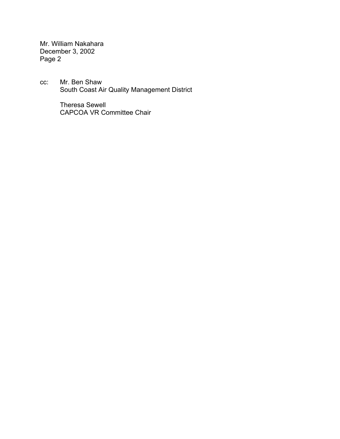Mr. William Nakahara December 3, 2002 Page 2

cc: Mr. Ben Shaw South Coast Air Quality Management District

> Theresa Sewell CAPCOA VR Committee Chair